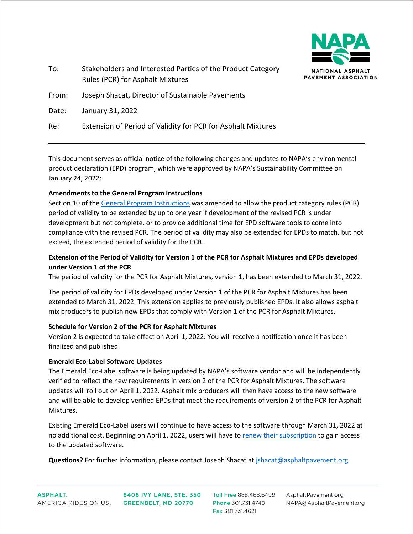

| To:   | Stakeholders and Interested Parties of the Product Category<br>Rules (PCR) for Asphalt Mixtures |
|-------|-------------------------------------------------------------------------------------------------|
| From: | Joseph Shacat, Director of Sustainable Pavements                                                |
| Date: | January 31, 2022                                                                                |

Re: Extension of Period of Validity for PCR for Asphalt Mixtures

This document serves as official notice of the following changes and updates to NAPA's environmental product declaration (EPD) program, which were approved by NAPA's Sustainability Committee on January 24, 2022:

## **Amendments to the General Program Instructions**

Section 10 of the [General Program Instructions](https://www.asphaltpavement.org/uploads/documents/EPD_Program/NAPA_General_Program_Instructions_v2.1.pdf) was amended to allow the product category rules (PCR) period of validity to be extended by up to one year if development of the revised PCR is under development but not complete, or to provide additional time for EPD software tools to come into compliance with the revised PCR. The period of validity may also be extended for EPDs to match, but not exceed, the extended period of validity for the PCR.

## **Extension of the Period of Validity for Version 1 of the PCR for Asphalt Mixtures and EPDs developed under Version 1 of the PCR**

The period of validity for the PCR for Asphalt Mixtures, version 1, has been extended to March 31, 2022.

The period of validity for EPDs developed under Version 1 of the PCR for Asphalt Mixtures has been extended to March 31, 2022. This extension applies to previously published EPDs. It also allows asphalt mix producers to publish new EPDs that comply with Version 1 of the PCR for Asphalt Mixtures.

## **Schedule for Version 2 of the PCR for Asphalt Mixtures**

Version 2 is expected to take effect on April 1, 2022. You will receive a notification once it has been finalized and published.

## **Emerald Eco-Label Software Updates**

The Emerald Eco-Label software is being updated by NAPA's software vendor and will be independently verified to reflect the new requirements in version 2 of the PCR for Asphalt Mixtures. The software updates will roll out on April 1, 2022. Asphalt mix producers will then have access to the new software and will be able to develop verified EPDs that meet the requirements of version 2 of the PCR for Asphalt Mixtures.

Existing Emerald Eco-Label users will continue to have access to the software through March 31, 2022 at no additional cost. Beginning on April 1, 2022, users will have to [renew their subscription](https://www.asphaltpavement.org/programs/napa-programs/emerald-eco-label/registration-process) to gain access to the updated software.

**Questions?** For further information, please contact Joseph Shacat a[t jshacat@asphaltpavement.org.](mailto:jshacat@asphaltpavement.org)

6406 IVY LANE, STE. 350 **GREENBELT, MD 20770** 

Toll Free 888.468.6499 Phone 301.731.4748 Fax 301.731.4621

AsphaltPavement.org NAPA@AsphaltPavement.org